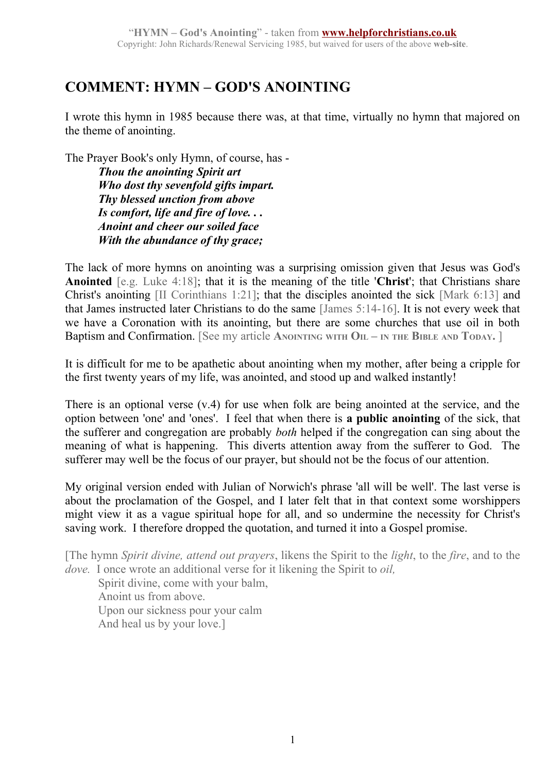## **COMMENT: HYMN – GOD'S ANOINTING**

I wrote this hymn in 1985 because there was, at that time, virtually no hymn that majored on the theme of anointing.

The Prayer Book's only Hymn, of course, has -

*Thou the anointing Spirit art Who dost thy sevenfold gifts impart. Thy blessed unction from above Is comfort, life and fire of love. . . Anoint and cheer our soiled face With the abundance of thy grace;*

The lack of more hymns on anointing was a surprising omission given that Jesus was God's **Anointed** [e.g. Luke 4:18]; that it is the meaning of the title '**Christ**'; that Christians share Christ's anointing [II Corinthians 1:21]; that the disciples anointed the sick [Mark 6:13] and that James instructed later Christians to do the same [James 5:14-16]. It is not every week that we have a Coronation with its anointing, but there are some churches that use oil in both Baptism and Confirmation. [See my article ANOINTING WITH OIL – IN THE BIBLE AND TODAY. ]

It is difficult for me to be apathetic about anointing when my mother, after being a cripple for the first twenty years of my life, was anointed, and stood up and walked instantly!

There is an optional verse (v.4) for use when folk are being anointed at the service, and the option between 'one' and 'ones'. I feel that when there is **a public anointing** of the sick, that the sufferer and congregation are probably *both* helped if the congregation can sing about the meaning of what is happening. This diverts attention away from the sufferer to God. The sufferer may well be the focus of our prayer, but should not be the focus of our attention.

My original version ended with Julian of Norwich's phrase 'all will be well'. The last verse is about the proclamation of the Gospel, and I later felt that in that context some worshippers might view it as a vague spiritual hope for all, and so undermine the necessity for Christ's saving work. I therefore dropped the quotation, and turned it into a Gospel promise.

[The hymn *Spirit divine, attend out prayers*, likens the Spirit to the *light*, to the *fire*, and to the *dove.* I once wrote an additional verse for it likening the Spirit to *oil,*

Spirit divine, come with your balm, Anoint us from above. Upon our sickness pour your calm And heal us by your love.]